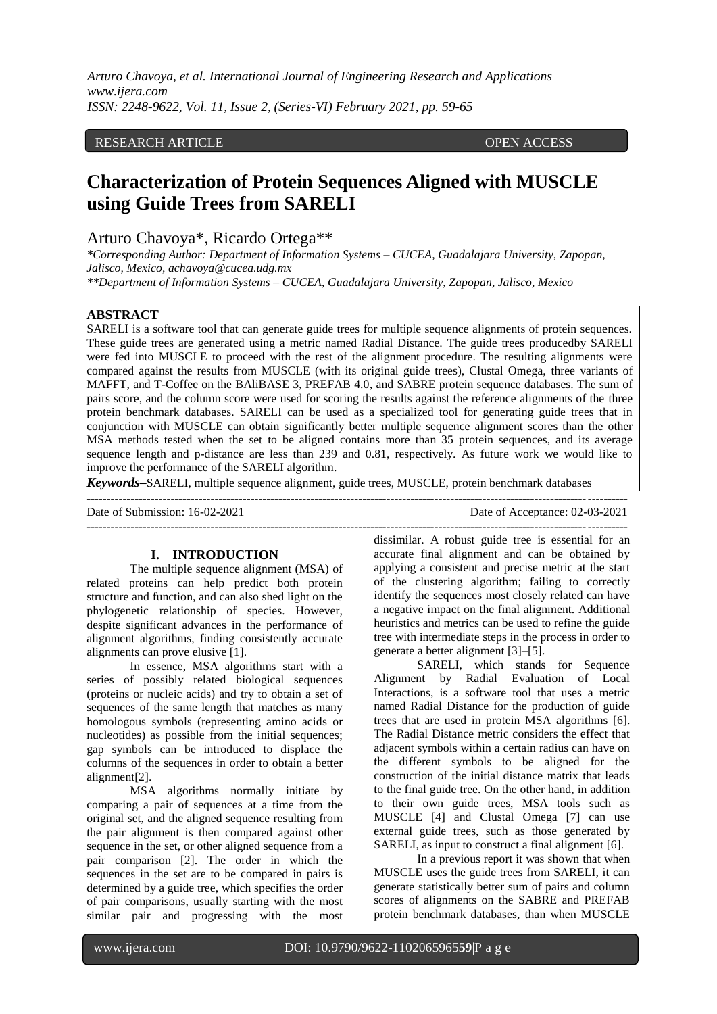*Arturo Chavoya, et al. International Journal of Engineering Research and Applications www.ijera.com ISSN: 2248-9622, Vol. 11, Issue 2, (Series-VI) February 2021, pp. 59-65*

# RESEARCH ARTICLE **CONTRACT ARTICLE** AND LOTEN ACCESS OPEN ACCESS

# **Characterization of Protein Sequences Aligned with MUSCLE using Guide Trees from SARELI**

# Arturo Chavoya\*, Ricardo Ortega\*\*

*\*Corresponding Author: Department of Information Systems – CUCEA, Guadalajara University, Zapopan, Jalisco, Mexico, achavoya@cucea.udg.mx*

*\*\*Department of Information Systems – CUCEA, Guadalajara University, Zapopan, Jalisco, Mexico*

# **ABSTRACT**

SARELI is a software tool that can generate guide trees for multiple sequence alignments of protein sequences. These guide trees are generated using a metric named Radial Distance. The guide trees producedby SARELI were fed into MUSCLE to proceed with the rest of the alignment procedure. The resulting alignments were compared against the results from MUSCLE (with its original guide trees), Clustal Omega, three variants of MAFFT, and T-Coffee on the BAliBASE 3, PREFAB 4.0, and SABRE protein sequence databases. The sum of pairs score, and the column score were used for scoring the results against the reference alignments of the three protein benchmark databases. SARELI can be used as a specialized tool for generating guide trees that in conjunction with MUSCLE can obtain significantly better multiple sequence alignment scores than the other MSA methods tested when the set to be aligned contains more than 35 protein sequences, and its average sequence length and p-distance are less than 239 and 0.81, respectively. As future work we would like to improve the performance of the SARELI algorithm.

*Keywords***–**SARELI, multiple sequence alignment, guide trees, MUSCLE, protein benchmark databases

---------------------------------------------------------------------------------------------------------------------------------------

---------------------------------------------------------------------------------------------------------------------------------------

Date of Submission: 16-02-2021 Date of Acceptance: 02-03-2021

## **I. INTRODUCTION**

The multiple sequence alignment (MSA) of related proteins can help predict both protein structure and function, and can also shed light on the phylogenetic relationship of species. However, despite significant advances in the performance of alignment algorithms, finding consistently accurate alignments can prove elusive [1].

In essence, MSA algorithms start with a series of possibly related biological sequences (proteins or nucleic acids) and try to obtain a set of sequences of the same length that matches as many homologous symbols (representing amino acids or nucleotides) as possible from the initial sequences; gap symbols can be introduced to displace the columns of the sequences in order to obtain a better alignment[2].

MSA algorithms normally initiate by comparing a pair of sequences at a time from the original set, and the aligned sequence resulting from the pair alignment is then compared against other sequence in the set, or other aligned sequence from a pair comparison [2]. The order in which the sequences in the set are to be compared in pairs is determined by a guide tree, which specifies the order of pair comparisons, usually starting with the most similar pair and progressing with the most

dissimilar. A robust guide tree is essential for an accurate final alignment and can be obtained by applying a consistent and precise metric at the start of the clustering algorithm; failing to correctly identify the sequences most closely related can have a negative impact on the final alignment. Additional heuristics and metrics can be used to refine the guide tree with intermediate steps in the process in order to generate a better alignment [3]–[5].

SARELI, which stands for Sequence Alignment by Radial Evaluation of Local Interactions, is a software tool that uses a metric named Radial Distance for the production of guide trees that are used in protein MSA algorithms [6]. The Radial Distance metric considers the effect that adjacent symbols within a certain radius can have on the different symbols to be aligned for the construction of the initial distance matrix that leads to the final guide tree. On the other hand, in addition to their own guide trees, MSA tools such as MUSCLE [4] and Clustal Omega [7] can use external guide trees, such as those generated by SARELI, as input to construct a final alignment [6].

In a previous report it was shown that when MUSCLE uses the guide trees from SARELI, it can generate statistically better sum of pairs and column scores of alignments on the SABRE and PREFAB protein benchmark databases, than when MUSCLE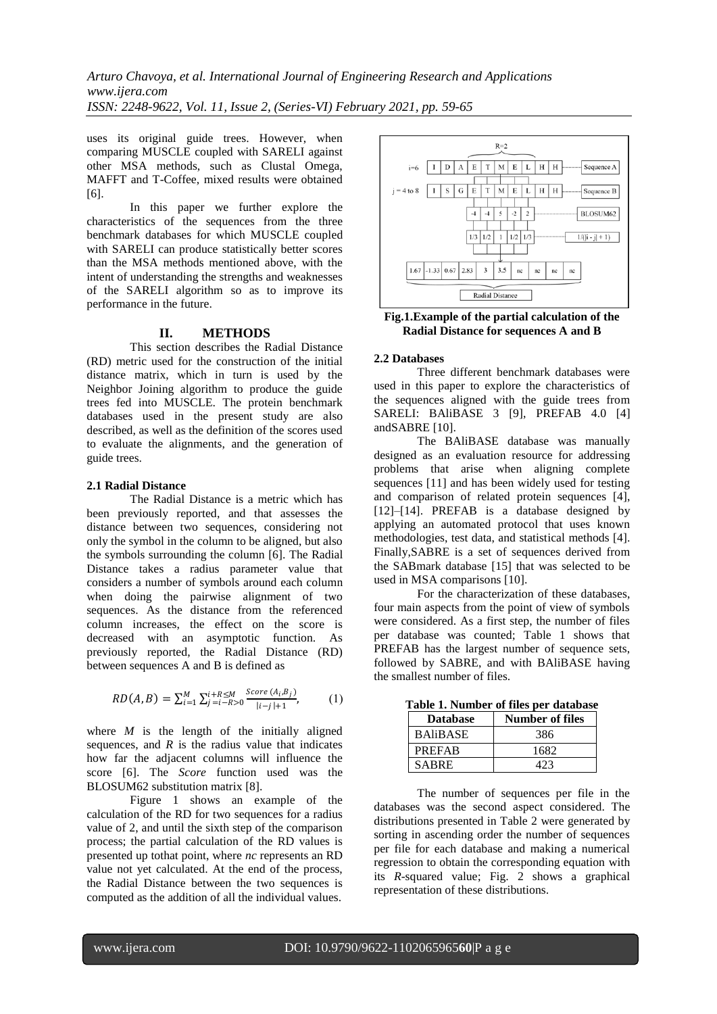*Arturo Chavoya, et al. International Journal of Engineering Research and Applications www.ijera.com ISSN: 2248-9622, Vol. 11, Issue 2, (Series-VI) February 2021, pp. 59-65*

uses its original guide trees. However, when comparing MUSCLE coupled with SARELI against other MSA methods, such as Clustal Omega, MAFFT and T-Coffee, mixed results were obtained [6].

In this paper we further explore the characteristics of the sequences from the three benchmark databases for which MUSCLE coupled with SARELI can produce statistically better scores than the MSA methods mentioned above, with the intent of understanding the strengths and weaknesses of the SARELI algorithm so as to improve its performance in the future.

### **II. METHODS**

This section describes the Radial Distance (RD) metric used for the construction of the initial distance matrix, which in turn is used by the Neighbor Joining algorithm to produce the guide trees fed into MUSCLE. The protein benchmark databases used in the present study are also described, as well as the definition of the scores used to evaluate the alignments, and the generation of guide trees.

#### **2.1 Radial Distance**

The Radial Distance is a metric which has been previously reported, and that assesses the distance between two sequences, considering not only the symbol in the column to be aligned, but also the symbols surrounding the column [6]. The Radial Distance takes a radius parameter value that considers a number of symbols around each column when doing the pairwise alignment of two sequences. As the distance from the referenced column increases, the effect on the score is decreased with an asymptotic function. As previously reported, the Radial Distance (RD) between sequences A and B is defined as

$$
RD(A, B) = \sum_{i=1}^{M} \sum_{j=i-R>0}^{i+R \le M} \frac{Score(A_i, B_j)}{|i-j|+1},
$$
 (1)

where  $M$  is the length of the initially aligned sequences, and  $R$  is the radius value that indicates how far the adjacent columns will influence the score [6]. The *Score* function used was the BLOSUM62 substitution matrix [8].

Figure 1 shows an example of the calculation of the RD for two sequences for a radius value of 2, and until the sixth step of the comparison process; the partial calculation of the RD values is presented up tothat point, where *nc* represents an RD value not yet calculated. At the end of the process, the Radial Distance between the two sequences is computed as the addition of all the individual values.



**Fig.1.Example of the partial calculation of the Radial Distance for sequences A and B**

#### **2.2 Databases**

Three different benchmark databases were used in this paper to explore the characteristics of the sequences aligned with the guide trees from SARELI: BAliBASE 3 [9], PREFAB 4.0 [4] andSABRE [10].

The BAliBASE database was manually designed as an evaluation resource for addressing problems that arise when aligning complete sequences [11] and has been widely used for testing and comparison of related protein sequences [4], [12]–[14]. PREFAB is a database designed by applying an automated protocol that uses known methodologies, test data, and statistical methods [4]. Finally,SABRE is a set of sequences derived from the SABmark database [15] that was selected to be used in MSA comparisons [10].

For the characterization of these databases, four main aspects from the point of view of symbols were considered. As a first step, the number of files per database was counted; Table 1 shows that PREFAB has the largest number of sequence sets, followed by SABRE, and with BAliBASE having the smallest number of files.

| <b>Database</b> | <b>Number of files</b> |
|-----------------|------------------------|
| <b>BAliBASE</b> | 386                    |
| <b>PREFAB</b>   | 1682                   |
| <b>SABRE</b>    | 423                    |

**Table 1. Number of files per database**

The number of sequences per file in the databases was the second aspect considered. The distributions presented in Table 2 were generated by sorting in ascending order the number of sequences per file for each database and making a numerical regression to obtain the corresponding equation with its *R*-squared value; Fig. 2 shows a graphical representation of these distributions.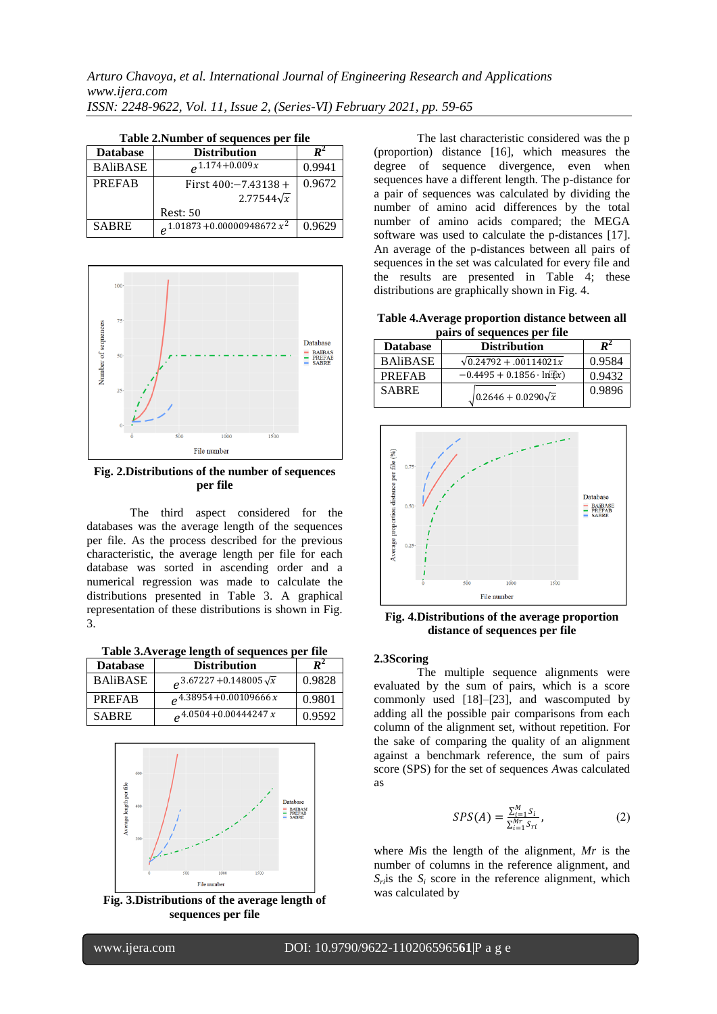| <b>Database</b> | <b>Distribution</b>             |        |
|-----------------|---------------------------------|--------|
| <b>BAliBASE</b> | $0.1174 + 0.009x$               | 0.9941 |
| <b>PREFAB</b>   | First $400:-7.43138+$           | 0.9672 |
|                 | $2.77544\sqrt{x}$               |        |
|                 | <b>Rest: 50</b>                 |        |
| <b>SABRE</b>    | $a^{1.01873+0.00000948672 x^2}$ | 0.9629 |

**Table 2.Number of sequences per file** 



**Fig. 2.Distributions of the number of sequences per file**

The third aspect considered for the databases was the average length of the sequences per file. As the process described for the previous characteristic, the average length per file for each database was sorted in ascending order and a numerical regression was made to calculate the distributions presented in Table 3. A graphical representation of these distributions is shown in Fig. 3.

**Table 3.Average length of sequences per file**

| <b>Database</b> | <b>Distribution</b>                 |        |
|-----------------|-------------------------------------|--------|
| <b>BAliBASE</b> | $2.67227 + 0.148005\sqrt{x}$        | 0.9828 |
| <b>PREFAB</b>   | $e^{4.38954+0.00109666x}$           | 0.9801 |
| <b>SABRE</b>    | $e^{4.0504+0.00\overline{444247x}}$ | 0.9592 |



**sequences per file**

The last characteristic considered was the p (proportion) distance [16], which measures the degree of sequence divergence, even when sequences have a different length. The p-distance for a pair of sequences was calculated by dividing the number of amino acid differences by the total number of amino acids compared; the MEGA software was used to calculate the p-distances [17]. An average of the p-distances between all pairs of sequences in the set was calculated for every file and the results are presented in Table 4; these distributions are graphically shown in Fig. 4.

**Table 4.Average proportion distance between all pairs of sequences per file**

| <b>Database</b> | <b>Distribution</b>               | $\boldsymbol{R}^2$ |
|-----------------|-----------------------------------|--------------------|
| <b>BAliBASE</b> | $\sqrt{0.24792} + 0.00114021x$    | 0.9584             |
| <b>PREFAB</b>   | $-0.4495 + 0.1856 \cdot \ln(x)$   | 0.9432             |
| <b>SABRE</b>    | $\sqrt{0.2646 + 0.0290 \sqrt{x}}$ | 0.9896             |



**Fig. 4.Distributions of the average proportion distance of sequences per file** 

## **2.3Scoring**

The multiple sequence alignments were evaluated by the sum of pairs, which is a score commonly used [18]–[23], and wascomputed by adding all the possible pair comparisons from each column of the alignment set, without repetition. For the sake of comparing the quality of an alignment against a benchmark reference, the sum of pairs score (SPS) for the set of sequences *A*was calculated as

$$
SPS(A) = \frac{\sum_{i=1}^{M} S_i}{\sum_{i=1}^{M} S_{ri}},
$$
 (2)

where *M*is the length of the alignment, *Mr* is the number of columns in the reference alignment, and  $S_i$  *S<sub>i</sub>* score in the reference alignment, which was calculated by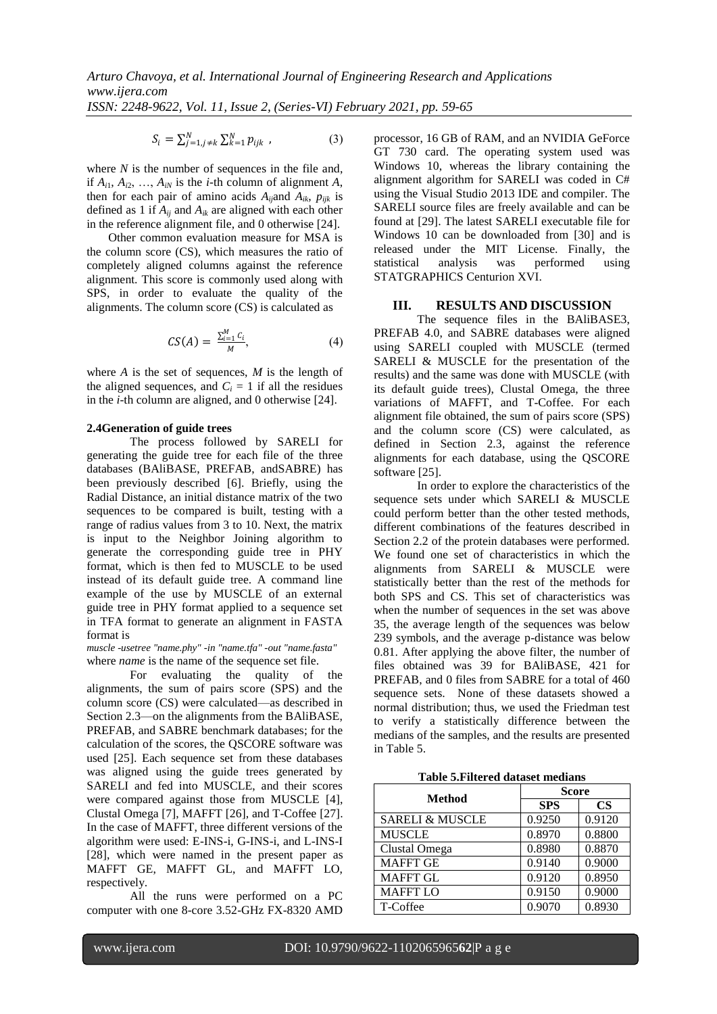$$
S_i = \sum_{j=1, j \neq k}^{N} \sum_{k=1}^{N} p_{ijk} , \qquad (3)
$$

where *N* is the number of sequences in the file and, if  $A_{i1}$ ,  $A_{i2}$ , ...,  $A_{iN}$  is the *i*-th column of alignment *A*, then for each pair of amino acids  $A_{ij}$ and  $A_{ik}$ ,  $p_{ijk}$  is defined as 1 if  $A_{ii}$  and  $A_{ik}$  are aligned with each other in the reference alignment file, and 0 otherwise [24].

Other common evaluation measure for MSA is the column score (CS), which measures the ratio of completely aligned columns against the reference alignment. This score is commonly used along with SPS, in order to evaluate the quality of the alignments. The column score (CS) is calculated as

$$
CS(A) = \frac{\sum_{i=1}^{M} C_i}{M}, \tag{4}
$$

where *A* is the set of sequences, *M* is the length of the aligned sequences, and  $C_i = 1$  if all the residues in the *i*-th column are aligned, and 0 otherwise [24].

## **2.4Generation of guide trees**

The process followed by SARELI for generating the guide tree for each file of the three databases (BAliBASE, PREFAB, andSABRE) has been previously described [6]. Briefly, using the Radial Distance, an initial distance matrix of the two sequences to be compared is built, testing with a range of radius values from 3 to 10. Next, the matrix is input to the Neighbor Joining algorithm to generate the corresponding guide tree in PHY format, which is then fed to MUSCLE to be used instead of its default guide tree. A command line example of the use by MUSCLE of an external guide tree in PHY format applied to a sequence set in TFA format to generate an alignment in FASTA format is

*muscle -usetree "name.phy" -in "name.tfa" -out "name.fasta"* where *name* is the name of the sequence set file.

For evaluating the quality of the alignments, the sum of pairs score (SPS) and the column score (CS) were calculated—as described in Section 2.3—on the alignments from the BAliBASE, PREFAB, and SABRE benchmark databases; for the calculation of the scores, the QSCORE software was used [25]. Each sequence set from these databases was aligned using the guide trees generated by SARELI and fed into MUSCLE, and their scores were compared against those from MUSCLE [4], Clustal Omega [7], MAFFT [26], and T-Coffee [27]. In the case of MAFFT, three different versions of the algorithm were used: E-INS-i, G-INS-i, and L-INS-I [28], which were named in the present paper as MAFFT GE, MAFFT GL, and MAFFT LO, respectively.

All the runs were performed on a PC computer with one 8-core 3.52-GHz FX-8320 AMD processor, 16 GB of RAM, and an NVIDIA GeForce GT 730 card. The operating system used was Windows 10, whereas the library containing the alignment algorithm for SARELI was coded in C# using the Visual Studio 2013 IDE and compiler. The SARELI source files are freely available and can be found at [29]. The latest SARELI executable file for Windows 10 can be downloaded from [30] and is released under the MIT License. Finally, the statistical analysis was performed using STATGRAPHICS Centurion XVI.

### **III. RESULTS AND DISCUSSION**

The sequence files in the BAliBASE3, PREFAB 4.0, and SABRE databases were aligned using SARELI coupled with MUSCLE (termed SARELI & MUSCLE for the presentation of the results) and the same was done with MUSCLE (with its default guide trees), Clustal Omega, the three variations of MAFFT, and T-Coffee. For each alignment file obtained, the sum of pairs score (SPS) and the column score (CS) were calculated, as defined in Section 2.3, against the reference alignments for each database, using the QSCORE software [25].

In order to explore the characteristics of the sequence sets under which SARELI & MUSCLE could perform better than the other tested methods, different combinations of the features described in Section 2.2 of the protein databases were performed. We found one set of characteristics in which the alignments from SARELI & MUSCLE were statistically better than the rest of the methods for both SPS and CS. This set of characteristics was when the number of sequences in the set was above 35, the average length of the sequences was below 239 symbols, and the average p-distance was below 0.81. After applying the above filter, the number of files obtained was 39 for BAliBASE, 421 for PREFAB, and 0 files from SABRE for a total of 460 sequence sets. None of these datasets showed a normal distribution; thus, we used the Friedman test to verify a statistically difference between the medians of the samples, and the results are presented in Table 5.

**Table 5.Filtered dataset medians**

| <b>Method</b>              | <b>Score</b> |           |
|----------------------------|--------------|-----------|
|                            | <b>SPS</b>   | <b>CS</b> |
| <b>SARELI &amp; MUSCLE</b> | 0.9250       | 0.9120    |
| <b>MUSCLE</b>              | 0.8970       | 0.8800    |
| Clustal Omega              | 0.8980       | 0.8870    |
| <b>MAFFT GE</b>            | 0.9140       | 0.9000    |
| <b>MAFFT GL</b>            | 0.9120       | 0.8950    |
| <b>MAFFT LO</b>            | 0.9150       | 0.9000    |
| T-Coffee                   | 0.9070       | 0.8930    |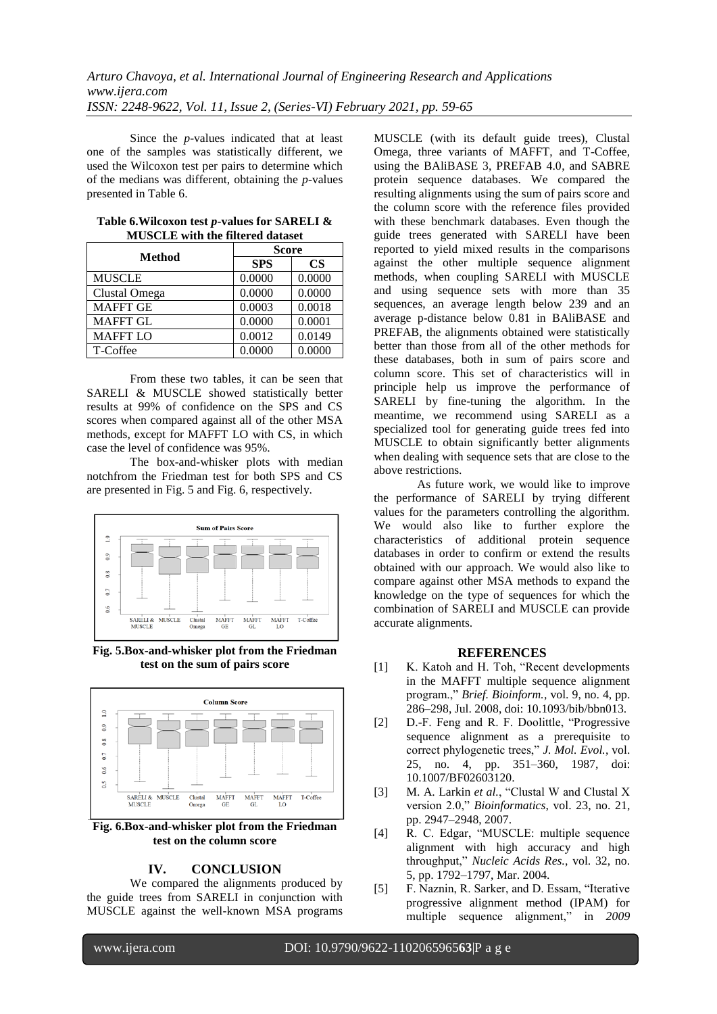Since the *p*-values indicated that at least one of the samples was statistically different, we used the Wilcoxon test per pairs to determine which of the medians was different, obtaining the *p*-values presented in Table 6.

| <b>Method</b>   | Score      |           |
|-----------------|------------|-----------|
|                 | <b>SPS</b> | <b>CS</b> |
| <b>MUSCLE</b>   | 0.0000     | 0.0000    |
| Clustal Omega   | 0.0000     | 0.0000    |
| <b>MAFFT GE</b> | 0.0003     | 0.0018    |
| <b>MAFFT GL</b> | 0.0000     | 0.0001    |
| <b>MAFFT LO</b> | 0.0012     | 0.0149    |
| T-Coffee        | 0.0000     | 0.0000    |

| Table 6. Wilcoxon test p-values for SARELI & |
|----------------------------------------------|
| <b>MUSCLE</b> with the filtered dataset      |

From these two tables, it can be seen that SARELI & MUSCLE showed statistically better results at 99% of confidence on the SPS and CS scores when compared against all of the other MSA methods, except for MAFFT LO with CS, in which case the level of confidence was 95%.

The box-and-whisker plots with median notchfrom the Friedman test for both SPS and CS are presented in Fig. 5 and Fig. 6, respectively.



**Fig. 5.Box-and-whisker plot from the Friedman test on the sum of pairs score** 



**Fig. 6.Box-and-whisker plot from the Friedman test on the column score**

# **IV. CONCLUSION**

We compared the alignments produced by the guide trees from SARELI in conjunction with MUSCLE against the well-known MSA programs

MUSCLE (with its default guide trees), Clustal Omega, three variants of MAFFT, and T-Coffee, using the BAliBASE 3, PREFAB 4.0, and SABRE protein sequence databases. We compared the resulting alignments using the sum of pairs score and the column score with the reference files provided with these benchmark databases. Even though the guide trees generated with SARELI have been reported to yield mixed results in the comparisons against the other multiple sequence alignment methods, when coupling SARELI with MUSCLE and using sequence sets with more than 35 sequences, an average length below 239 and an average p-distance below 0.81 in BAliBASE and PREFAB, the alignments obtained were statistically better than those from all of the other methods for these databases, both in sum of pairs score and column score. This set of characteristics will in principle help us improve the performance of SARELI by fine-tuning the algorithm. In the meantime, we recommend using SARELI as a specialized tool for generating guide trees fed into MUSCLE to obtain significantly better alignments when dealing with sequence sets that are close to the above restrictions.

As future work, we would like to improve the performance of SARELI by trying different values for the parameters controlling the algorithm. We would also like to further explore the characteristics of additional protein sequence databases in order to confirm or extend the results obtained with our approach. We would also like to compare against other MSA methods to expand the knowledge on the type of sequences for which the combination of SARELI and MUSCLE can provide accurate alignments.

## **REFERENCES**

- [1] K. Katoh and H. Toh, "Recent developments" in the MAFFT multiple sequence alignment program.," *Brief. Bioinform.*, vol. 9, no. 4, pp. 286–298, Jul. 2008, doi: 10.1093/bib/bbn013.
- [2] D.-F. Feng and R. F. Doolittle, "Progressive sequence alignment as a prerequisite to correct phylogenetic trees," *J. Mol. Evol.*, vol. 25, no. 4, pp. 351–360, 1987, doi: 10.1007/BF02603120.
- [3] M. A. Larkin et al., "Clustal W and Clustal X version 2.0," *Bioinformatics*, vol. 23, no. 21, pp. 2947–2948, 2007.
- [4] R. C. Edgar, "MUSCLE: multiple sequence alignment with high accuracy and high throughput,‖ *Nucleic Acids Res.*, vol. 32, no. 5, pp. 1792–1797, Mar. 2004.
- [5] F. Naznin, R. Sarker, and D. Essam, "Iterative progressive alignment method (IPAM) for multiple sequence alignment," in 2009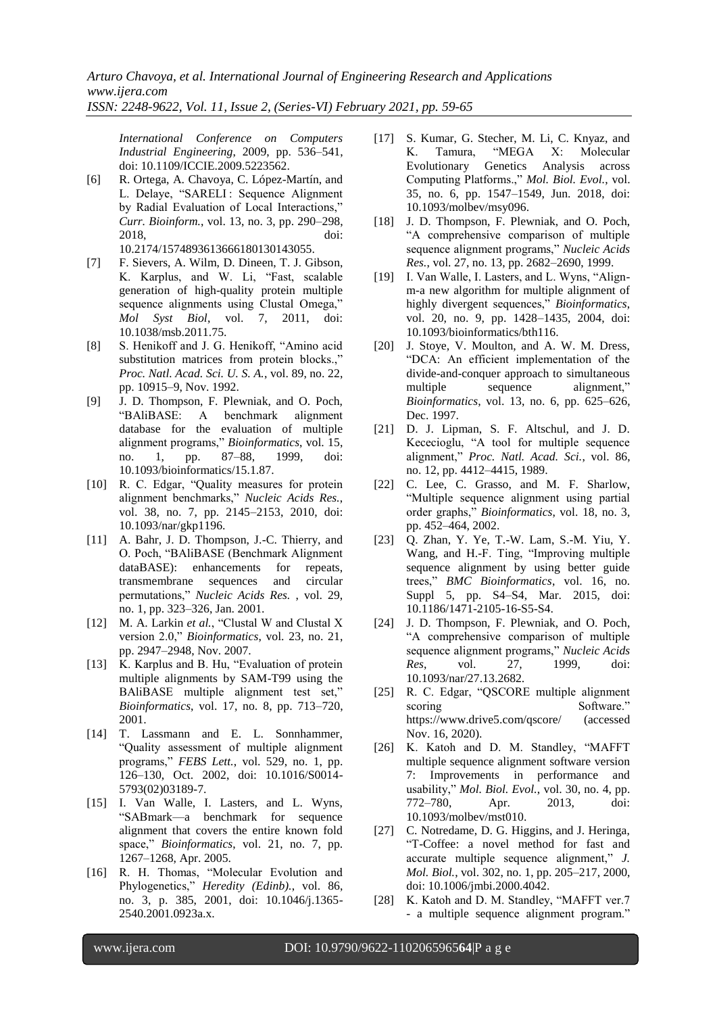*International Conference on Computers Industrial Engineering*, 2009, pp. 536–541, doi: 10.1109/ICCIE.2009.5223562.

[6] R. Ortega, A. Chavoya, C. López-Martín, and L. Delaye, "SARELI: Sequence Alignment by Radial Evaluation of Local Interactions," *Curr. Bioinform.*, vol. 13, no. 3, pp. 290–298, 2018, doi:

10.2174/1574893613666180130143055.

- [7] F. Sievers, A. Wilm, D. Dineen, T. J. Gibson, K. Karplus, and W. Li, "Fast, scalable generation of high-quality protein multiple sequence alignments using Clustal Omega," *Mol Syst Biol*, vol. 7, 2011, doi: 10.1038/msb.2011.75.
- [8] S. Henikoff and J. G. Henikoff, "Amino acid substitution matrices from protein blocks.," *Proc. Natl. Acad. Sci. U. S. A.*, vol. 89, no. 22, pp. 10915–9, Nov. 1992.
- [9] J. D. Thompson, F. Plewniak, and O. Poch, ―BAliBASE: A benchmark alignment database for the evaluation of multiple alignment programs," *Bioinformatics*, vol. 15, no. 1, pp. 87-88, 1999, doi: no. 1, pp. 87–88, 1999, doi: 10.1093/bioinformatics/15.1.87.
- [10] R. C. Edgar, "Quality measures for protein alignment benchmarks," *Nucleic Acids Res.*, vol. 38, no. 7, pp. 2145–2153, 2010, doi: 10.1093/nar/gkp1196.
- [11] A. Bahr, J. D. Thompson, J.-C. Thierry, and O. Poch, "BAliBASE (Benchmark Alignment dataBASE): enhancements for repeats, transmembrane sequences and circular permutations,‖ *Nucleic Acids Res.* , vol. 29, no. 1, pp. 323–326, Jan. 2001.
- [12] M. A. Larkin et al., "Clustal W and Clustal X version 2.0," *Bioinformatics*, vol. 23, no. 21, pp. 2947–2948, Nov. 2007.
- [13] K. Karplus and B. Hu, "Evaluation of protein multiple alignments by SAM-T99 using the BAliBASE multiple alignment test set," *Bioinformatics*, vol. 17, no. 8, pp. 713–720, 2001.
- [14] T. Lassmann and E. L. Sonnhammer, ―Quality assessment of multiple alignment programs," FEBS Lett., vol. 529, no. 1, pp. 126–130, Oct. 2002, doi: 10.1016/S0014- 5793(02)03189-7.
- [15] I. Van Walle, I. Lasters, and L. Wyns, ―SABmark—a benchmark for sequence alignment that covers the entire known fold space," *Bioinformatics*, vol. 21, no. 7, pp. 1267–1268, Apr. 2005.
- [16] R. H. Thomas, "Molecular Evolution and Phylogenetics," Heredity (Edinb)., vol. 86, no. 3, p. 385, 2001, doi: 10.1046/j.1365- 2540.2001.0923a.x.
- [17] S. Kumar, G. Stecher, M. Li, C. Knyaz, and K. Tamura, "MEGA X: Molecular Evolutionary Genetics Analysis across Computing Platforms.," Mol. Biol. Evol., vol. 35, no. 6, pp. 1547–1549, Jun. 2018, doi: 10.1093/molbev/msy096.
- [18] J. D. Thompson, F. Plewniak, and O. Poch, ―A comprehensive comparison of multiple sequence alignment programs," *Nucleic Acids Res.*, vol. 27, no. 13, pp. 2682–2690, 1999.
- [19] I. Van Walle, I. Lasters, and L. Wyns, "Alignm-a new algorithm for multiple alignment of highly divergent sequences," Bioinformatics, vol. 20, no. 9, pp. 1428–1435, 2004, doi: 10.1093/bioinformatics/bth116.
- [20] J. Stoye, V. Moulton, and A. W. M. Dress, ―DCA: An efficient implementation of the divide-and-conquer approach to simultaneous multiple sequence alignment," *Bioinformatics*, vol. 13, no. 6, pp. 625–626, Dec. 1997.
- [21] D. J. Lipman, S. F. Altschul, and J. D. Kececioglu, "A tool for multiple sequence alignment,‖ *Proc. Natl. Acad. Sci.*, vol. 86, no. 12, pp. 4412–4415, 1989.
- [22] C. Lee, C. Grasso, and M. F. Sharlow, ―Multiple sequence alignment using partial order graphs," *Bioinformatics*, vol. 18, no. 3, pp. 452–464, 2002.
- [23] Q. Zhan, Y. Ye, T.-W. Lam, S.-M. Yiu, Y. Wang, and H.-F. Ting, "Improving multiple sequence alignment by using better guide trees,‖ *BMC Bioinformatics*, vol. 16, no. Suppl 5, pp. S4–S4, Mar. 2015, doi: 10.1186/1471-2105-16-S5-S4.
- [24] J. D. Thompson, F. Plewniak, and O. Poch, ―A comprehensive comparison of multiple sequence alignment programs," *Nucleic Acids Res*, vol. 27, 1999, doi: 10.1093/nar/27.13.2682.
- [25] R. C. Edgar, "QSCORE multiple alignment scoring Software." https://www.drive5.com/qscore/ (accessed Nov. 16, 2020).
- [26] K. Katoh and D. M. Standley, "MAFFT multiple sequence alignment software version 7: Improvements in performance and usability," *Mol. Biol. Evol.*, vol. 30, no. 4, pp. 772–780, Apr. 2013, doi: 10.1093/molbev/mst010.
- [27] C. Notredame, D. G. Higgins, and J. Heringa, ―T-Coffee: a novel method for fast and accurate multiple sequence alignment," *J. Mol. Biol.*, vol. 302, no. 1, pp. 205–217, 2000, doi: 10.1006/jmbi.2000.4042.
- [28] K. Katoh and D. M. Standley, "MAFFT ver.7 - a multiple sequence alignment program."